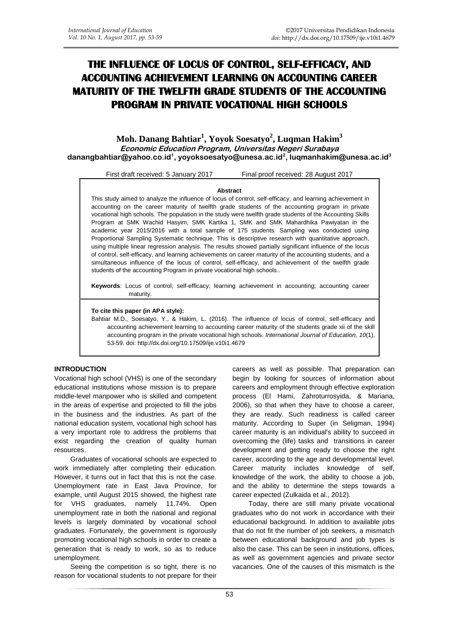# **THE INFLUENCE OF LOCUS OF CONTROL, SELF-EFFICACY, AND ACCOUNTING ACHIEVEMENT LEARNING ON ACCOUNTING CAREER MATURITY OF THE TWELFTH GRADE STUDENTS OF THE ACCOUNTING PROGRAM IN PRIVATE VOCATIONAL HIGH SCHOOLS**

**Moh. Danang Bahtiar<sup>1</sup> , Yoyok Soesatyo<sup>2</sup> , Luqman Hakim<sup>3</sup> Economic Education Program, Universitas Negeri Surabaya danangbahtiar@yahoo.co.id<sup>1</sup> , [yoyoksoesatyo@unesa.ac.id](mailto:yoyoksoesatyo@unesa.ac.id2)<sup>2</sup> , [luqmanhakim@unesa.ac.id](mailto:luqmanhakim@unesa.ac.id3)<sup>3</sup>**

First draft received: 5 January 2017 Final proof received: 28 August 2017

#### **Abstract**

This study aimed to analyze the influence of locus of control, self-efficacy, and learning achievement in accounting on the career maturity of twelfth grade students of the accounting program in private vocational high schools. The population in the study were twelfth grade students of the Accounting Skills Program at SMK Wachid Hasyim, SMK Kartika 1, SMK and SMK Mahardhika Pawiyatan in the academic year 2015/2016 with a total sample of 175 students. Sampling was conducted using Proportional Sampling Systematic technique. This is descriptive research with quantitative approach, using multiple linear regression analysis. The results showed partially significant influence of the locus of control, self-efficacy, and learning achievements on career maturity of the accounting students, and a simultaneous influence of the locus of control, self-efficacy, and achievement of the twelfth grade students of the accounting Program in private vocational high schools..

**Keywords**: Locus of control; self-efficacy; learning achievement in accounting; accounting career maturity.

#### **To cite this paper (in APA style):**

Bahtiar M.D., Soesatyo, Y., & Hakim, L. (2016). The influence of locus of control, self-efficacy and accounting achievement learning to accounting career maturity of the students grade xii of the skill accounting program in the private vocational high schools. *International Journal of Education, 10*(1), 53-59. doi: http://dx.doi.org/10.17509/ije.v10i1.4679

#### **INTRODUCTION**

Vocational high school (VHS) is one of the secondary educational institutions whose mission is to prepare middle-level manpower who is skilled and competent in the areas of expertise and projected to fill the jobs in the business and the industries. As part of the national education system, vocational high school has a very important role to address the problems that exist regarding the creation of quality human resources.

Graduates of vocational schools are expected to work immediately after completing their education. However, it turns out in fact that this is not the case. Unemployment rate in East Java Province, for example, until August 2015 showed, the highest rate for VHS graduates, namely 11.74%. Open unemployment rate in both the national and regional levels is largely dominated by vocational school graduates. Fortunately, the government is rigorously promoting vocational high schools in order to create a generation that is ready to work, so as to reduce unemployment.

Seeing the competition is so tight, there is no reason for vocational students to not prepare for their careers as well as possible. That preparation can begin by looking for sources of information about careers and employment through effective exploration process (El Hami, Zahroturrosyida, & Mariana, 2006), so that when they have to choose a career, they are ready. Such readiness is called career maturity. According to Super (in Seligman, 1994) career maturity is an individual's ability to succeed in overcoming the (life) tasks and transitions in career development and getting ready to choose the right career, according to the age and developmental level. Career maturity includes knowledge of self, knowledge of the work, the ability to choose a job, and the ability to determine the steps towards a career expected (Zulkaida et al., 2012).

Today, there are still many private vocational graduates who do not work in accordance with their educational background. In addition to available jobs that do not fit the number of job seekers, a mismatch between educational background and job types is also the case. This can be seen in institutions, offices, as well as government agencies and private sector vacancies. One of the causes of this mismatch is the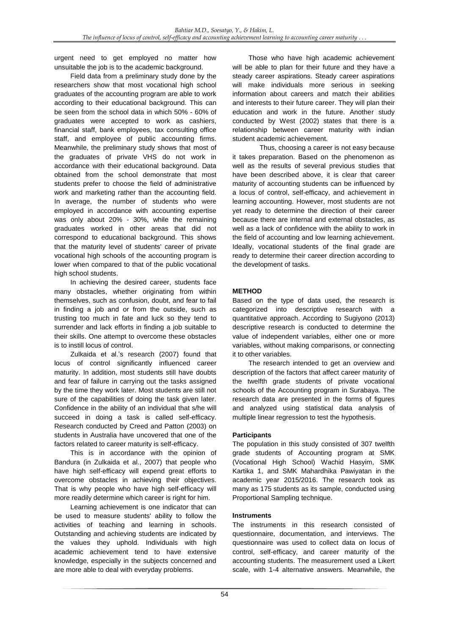urgent need to get employed no matter how unsuitable the job is to the academic background.

Field data from a preliminary study done by the researchers show that most vocational high school graduates of the accounting program are able to work according to their educational background. This can be seen from the school data in which 50% - 60% of graduates were accepted to work as cashiers, financial staff, bank employees, tax consulting office staff, and employee of public accounting firms. Meanwhile, the preliminary study shows that most of the graduates of private VHS do not work in accordance with their educational background. Data obtained from the school demonstrate that most students prefer to choose the field of administrative work and marketing rather than the accounting field. In average, the number of students who were employed in accordance with accounting expertise was only about 20% - 30%, while the remaining graduates worked in other areas that did not correspond to educational background. This shows that the maturity level of students' career of private vocational high schools of the accounting program is lower when compared to that of the public vocational high school students.

In achieving the desired career, students face many obstacles, whether originating from within themselves, such as confusion, doubt, and fear to fail in finding a job and or from the outside, such as trusting too much in fate and luck so they tend to surrender and lack efforts in finding a job suitable to their skills. One attempt to overcome these obstacles is to instill locus of control.

Zulkaida et al.'s research (2007) found that locus of control significantly influenced career maturity. In addition, most students still have doubts and fear of failure in carrying out the tasks assigned by the time they work later. Most students are still not sure of the capabilities of doing the task given later. Confidence in the ability of an individual that s/he will succeed in doing a task is called self-efficacy. Research conducted by Creed and Patton (2003) on students in Australia have uncovered that one of the factors related to career maturity is self-efficacy.

This is in accordance with the opinion of Bandura (in Zulkaida et al., 2007) that people who have high self-efficacy will expend great efforts to overcome obstacles in achieving their objectives. That is why people who have high self-efficacy will more readily determine which career is right for him.

Learning achievement is one indicator that can be used to measure students' ability to follow the activities of teaching and learning in schools. Outstanding and achieving students are indicated by the values they uphold. Individuals with high academic achievement tend to have extensive knowledge, especially in the subjects concerned and are more able to deal with everyday problems.

Those who have high academic achievement will be able to plan for their future and they have a steady career aspirations. Steady career aspirations will make individuals more serious in seeking information about careers and match their abilities and interests to their future career. They will plan their education and work in the future. Another study conducted by West (2002) states that there is a relationship between career maturity with indian student academic achievement.

Thus, choosing a career is not easy because it takes preparation. Based on the phenomenon as well as the results of several previous studies that have been described above, it is clear that career maturity of accounting students can be influenced by a locus of control, self-efficacy, and achievement in learning accounting. However, most students are not yet ready to determine the direction of their career because there are internal and external obstacles, as well as a lack of confidence with the ability to work in the field of accounting and low learning achievement. Ideally, vocational students of the final grade are ready to determine their career direction according to the development of tasks.

# **METHOD**

Based on the type of data used, the research is categorized into descriptive research with a quantitative approach. According to Sugiyono (2013) descriptive research is conducted to determine the value of independent variables, either one or more variables, without making comparisons, or connecting it to other variables.

The research intended to get an overview and description of the factors that affect career maturity of the twelfth grade students of private vocational schools of the Accounting program in Surabaya. The research data are presented in the forms of figures and analyzed using statistical data analysis of multiple linear regression to test the hypothesis.

## **Participants**

The population in this study consisted of 307 twelfth grade students of Accounting program at SMK (Vocational High School) Wachid Hasyim, SMK Kartika 1, and SMK Mahardhika Pawiyatan in the academic year 2015/2016. The research took as many as 175 students as its sample, conducted using Proportional Sampling technique.

## **Instruments**

The instruments in this research consisted of questionnaire, documentation, and interviews. The questionnaire was used to collect data on locus of control, self-efficacy, and career maturity of the accounting students. The measurement used a Likert scale, with 1-4 alternative answers. Meanwhile, the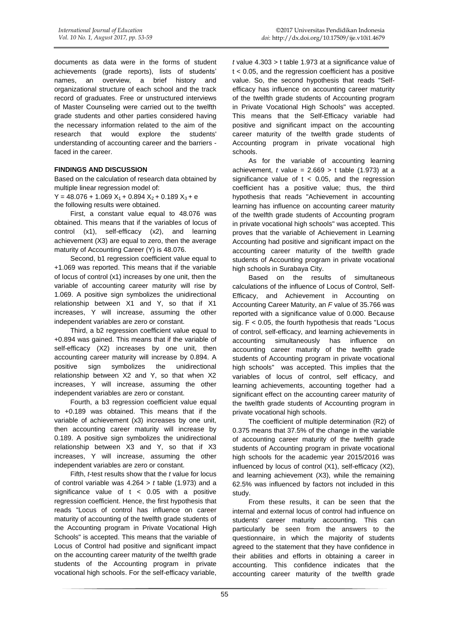documents as data were in the forms of student achievements (grade reports), lists of students' names, an overview, a brief history and organizational structure of each school and the track record of graduates. Free or unstructured interviews of Master Counseling were carried out to the twelfth grade students and other parties considered having the necessary information related to the aim of the research that would explore the students' understanding of accounting career and the barriers faced in the career.

# **FINDINGS AND DISCUSSION**

Based on the calculation of research data obtained by multiple linear regression model of:

 $Y = 48.076 + 1.069 X_1 + 0.894 X_2 + 0.189 X_3 + e$ the following results were obtained.

First, a constant value equal to 48.076 was obtained. This means that if the variables of locus of control (x1), self-efficacy (x2), and learning achievement (X3) are equal to zero, then the average maturity of Accounting Career (Y) is 48.076.

Second, b1 regression coefficient value equal to +1.069 was reported. This means that if the variable of locus of control (x1) increases by one unit, then the variable of accounting career maturity will rise by 1.069. A positive sign symbolizes the unidirectional relationship between X1 and Y, so that if X1 increases, Y will increase, assuming the other independent variables are zero or constant.

Third, a b2 regression coefficient value equal to +0.894 was gained. This means that if the variable of self-efficacy (X2) increases by one unit, then accounting career maturity will increase by 0.894. A positive sign symbolizes the unidirectional relationship between X2 and Y, so that when X2 increases, Y will increase, assuming the other independent variables are zero or constant.

Fourth, a b3 regression coefficient value equal to +0.189 was obtained. This means that if the variable of achievement (x3) increases by one unit, then accounting career maturity will increase by 0.189. A positive sign symbolizes the unidirectional relationship between X3 and Y, so that if X3 increases, Y will increase, assuming the other independent variables are zero or constant.

Fifth, *t*-test results show that the *t* value for locus of control variable was 4.264 > *t* table (1.973) and a significance value of  $t < 0.05$  with a positive regression coefficient. Hence, the first hypothesis that reads "Locus of control has influence on career maturity of accounting of the twelfth grade students of the Accounting program in Private Vocational High Schools" is accepted. This means that the variable of Locus of Control had positive and significant impact on the accounting career maturity of the twelfth grade students of the Accounting program in private vocational high schools. For the self-efficacy variable,

*t* value 4.303 > t table 1.973 at a significance value of t < 0.05, and the regression coefficient has a positive value. So, the second hypothesis that reads "Selfefficacy has influence on accounting career maturity of the twelfth grade students of Accounting program in Private Vocational High Schools" was accepted. This means that the Self-Efficacy variable had positive and significant impact on the accounting career maturity of the twelfth grade students of Accounting program in private vocational high schools.

As for the variable of accounting learning achievement,  $t$  value = 2.669 > t table (1.973) at a significance value of  $t < 0.05$ , and the regression coefficient has a positive value; thus, the third hypothesis that reads "Achievement in accounting learning has influence on accounting career maturity of the twelfth grade students of Accounting program in private vocational high schools" was accepted. This proves that the variable of Achievement in Learning Accounting had positive and significant impact on the accounting career maturity of the twelfth grade students of Accounting program in private vocational high schools in Surabaya City.

Based on the results of simultaneous calculations of the influence of Locus of Control, Self-Efficacy, and Achievement in Accounting on Accounting Career Maturity, an *F* value of 35.766 was reported with a significance value of 0.000. Because sig. F < 0.05, the fourth hypothesis that reads "Locus of control, self-efficacy, and learning achievements in accounting simultaneously has influence on accounting career maturity of the twelfth grade students of Accounting program in private vocational high schools" was accepted. This implies that the variables of locus of control, self efficacy, and learning achievements, accounting together had a significant effect on the accounting career maturity of the twelfth grade students of Accounting program in private vocational high schools.

The coefficient of multiple determination (R2) of 0.375 means that 37.5% of the change in the variable of accounting career maturity of the twelfth grade students of Accounting program in private vocational high schools for the academic year 2015/2016 was influenced by locus of control (X1), self-efficacy (X2), and learning achievement (X3), while the remaining 62.5% was influenced by factors not included in this study.

From these results, it can be seen that the internal and external locus of control had influence on students' career maturity accounting. This can particularly be seen from the answers to the questionnaire, in which the majority of students agreed to the statement that they have confidence in their abilities and efforts in obtaining a career in accounting. This confidence indicates that the accounting career maturity of the twelfth grade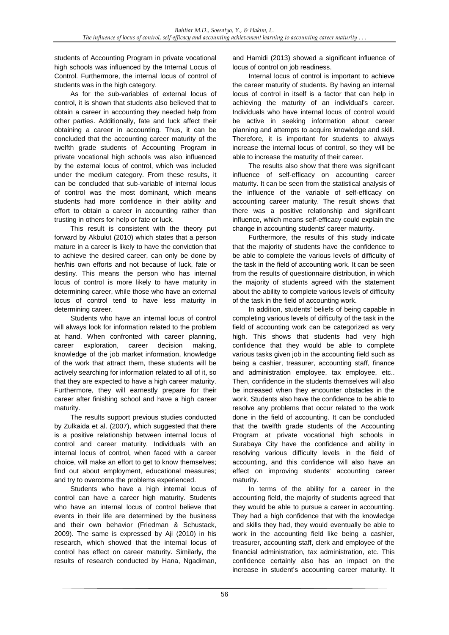students of Accounting Program in private vocational high schools was influenced by the Internal Locus of Control. Furthermore, the internal locus of control of students was in the high category.

As for the sub-variables of external locus of control, it is shown that students also believed that to obtain a career in accounting they needed help from other parties. Additionally, fate and luck affect their obtaining a career in accounting. Thus, it can be concluded that the accounting career maturity of the twelfth grade students of Accounting Program in private vocational high schools was also influenced by the external locus of control, which was included under the medium category. From these results, it can be concluded that sub-variable of internal locus of control was the most dominant, which means students had more confidence in their ability and effort to obtain a career in accounting rather than trusting in others for help or fate or luck.

This result is consistent with the theory put forward by Akbulut (2010) which states that a person mature in a career is likely to have the conviction that to achieve the desired career, can only be done by her/his own efforts and not because of luck, fate or destiny. This means the person who has internal locus of control is more likely to have maturity in determining career, while those who have an external locus of control tend to have less maturity in determining career.

Students who have an internal locus of control will always look for information related to the problem at hand. When confronted with career planning, career exploration, career decision making, knowledge of the job market information, knowledge of the work that attract them, these students will be actively searching for information related to all of it, so that they are expected to have a high career maturity. Furthermore, they will earnestly prepare for their career after finishing school and have a high career maturity.

The results support previous studies conducted by Zulkaida et al. (2007), which suggested that there is a positive relationship between internal locus of control and career maturity. Individuals with an internal locus of control, when faced with a career choice, will make an effort to get to know themselves; find out about employment, educational measures; and try to overcome the problems experienced.

Students who have a high internal locus of control can have a career high maturity. Students who have an internal locus of control believe that events in their life are determined by the business and their own behavior (Friedman & Schustack, 2009). The same is expressed by Aji (2010) in his research, which showed that the internal locus of control has effect on career maturity. Similarly, the results of research conducted by Hana, Ngadiman,

and Hamidi (2013) showed a significant influence of locus of control on job readiness.

Internal locus of control is important to achieve the career maturity of students. By having an internal locus of control in itself is a factor that can help in achieving the maturity of an individual's career. Individuals who have internal locus of control would be active in seeking information about career planning and attempts to acquire knowledge and skill. Therefore, it is important for students to always increase the internal locus of control, so they will be able to increase the maturity of their career.

The results also show that there was significant influence of self-efficacy on accounting career maturity. It can be seen from the statistical analysis of the influence of the variable of self-efficacy on accounting career maturity. The result shows that there was a positive relationship and significant influence, which means self-efficacy could explain the change in accounting students' career maturity.

Furthermore, the results of this study indicate that the majority of students have the confidence to be able to complete the various levels of difficulty of the task in the field of accounting work. It can be seen from the results of questionnaire distribution, in which the majority of students agreed with the statement about the ability to complete various levels of difficulty of the task in the field of accounting work.

In addition, students' beliefs of being capable in completing various levels of difficulty of the task in the field of accounting work can be categorized as very high. This shows that students had very high confidence that they would be able to complete various tasks given job in the accounting field such as being a cashier, treasurer, accounting staff, finance and administration employee, tax employee, etc.. Then, confidence in the students themselves will also be increased when they encounter obstacles in the work. Students also have the confidence to be able to resolve any problems that occur related to the work done in the field of accounting. It can be concluded that the twelfth grade students of the Accounting Program at private vocational high schools in Surabaya City have the confidence and ability in resolving various difficulty levels in the field of accounting, and this confidence will also have an effect on improving students' accounting career maturity.

In terms of the ability for a career in the accounting field, the majority of students agreed that they would be able to pursue a career in accounting. They had a high confidence that with the knowledge and skills they had, they would eventually be able to work in the accounting field like being a cashier, treasurer, accounting staff, clerk and employee of the financial administration, tax administration, etc. This confidence certainly also has an impact on the increase in student's accounting career maturity. It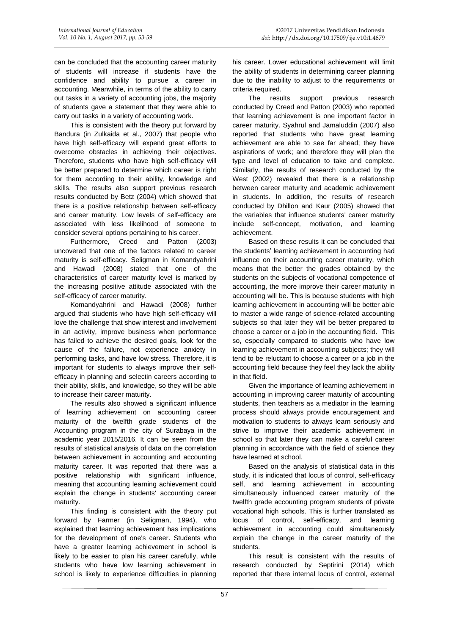can be concluded that the accounting career maturity of students will increase if students have the confidence and ability to pursue a career in accounting. Meanwhile, in terms of the ability to carry out tasks in a variety of accounting jobs, the majority of students gave a statement that they were able to carry out tasks in a variety of accounting work.

This is consistent with the theory put forward by Bandura (in Zulkaida et al., 2007) that people who have high self-efficacy will expend great efforts to overcome obstacles in achieving their objectives. Therefore, students who have high self-efficacy will be better prepared to determine which career is right for them according to their ability, knowledge and skills. The results also support previous research results conducted by Betz (2004) which showed that there is a positive relationship between self-efficacy and career maturity. Low levels of self-efficacy are associated with less likelihood of someone to consider several options pertaining to his career.

Furthermore, Creed and Patton (2003) uncovered that one of the factors related to career maturity is self-efficacy. Seligman in Komandyahrini and Hawadi (2008) stated that one of the characteristics of career maturity level is marked by the increasing positive attitude associated with the self-efficacy of career maturity.

Komandyahrini and Hawadi (2008) further argued that students who have high self-efficacy will love the challenge that show interest and involvement in an activity, improve business when performance has failed to achieve the desired goals, look for the cause of the failure, not experience anxiety in performing tasks, and have low stress. Therefore, it is important for students to always improve their selfefficacy in planning and selectin careers according to their ability, skills, and knowledge, so they will be able to increase their career maturity.

The results also showed a significant influence of learning achievement on accounting career maturity of the twelfth grade students of the Accounting program in the city of Surabaya in the academic year 2015/2016. It can be seen from the results of statistical analysis of data on the correlation between achievement in accounting and accounting maturity career. It was reported that there was a positive relationship with significant influence, meaning that accounting learning achievement could explain the change in students' accounting career maturity.

This finding is consistent with the theory put forward by Farmer (in Seligman, 1994), who explained that learning achievement has implications for the development of one's career. Students who have a greater learning achievement in school is likely to be easier to plan his career carefully, while students who have low learning achievement in school is likely to experience difficulties in planning

his career. Lower educational achievement will limit the ability of students in determining career planning due to the inability to adjust to the requirements or criteria required.

The results support previous research conducted by Creed and Patton (2003) who reported that learning achievement is one important factor in career maturity. Syahrul and Jamaluddin (2007) also reported that students who have great learning achievement are able to see far ahead; they have aspirations of work; and therefore they will plan the type and level of education to take and complete. Similarly, the results of research conducted by the West (2002) revealed that there is a relationship between career maturity and academic achievement in students. In addition, the results of research conducted by Dhillon and Kaur (2005) showed that the variables that influence students' career maturity include self-concept, motivation, and learning achievement.

Based on these results it can be concluded that the students' learning achievement in accounting had influence on their accounting career maturity, which means that the better the grades obtained by the students on the subjects of vocational competence of accounting, the more improve their career maturity in accounting will be. This is because students with high learning achievement in accounting will be better able to master a wide range of science-related accounting subjects so that later they will be better prepared to choose a career or a job in the accounting field. This so, especially compared to students who have low learning achievement in accounting subjects; they will tend to be reluctant to choose a career or a job in the accounting field because they feel they lack the ability in that field.

Given the importance of learning achievement in accounting in improving career maturity of accounting students, then teachers as a mediator in the learning process should always provide encouragement and motivation to students to always learn seriously and strive to improve their academic achievement in school so that later they can make a careful career planning in accordance with the field of science they have learned at school.

Based on the analysis of statistical data in this study, it is indicated that locus of control, self-efficacy self, and learning achievement in accounting simultaneously influenced career maturity of the twelfth grade accounting program students of private vocational high schools. This is further translated as locus of control, self-efficacy, and learning achievement in accounting could simultaneously explain the change in the career maturity of the students.

This result is consistent with the results of research conducted by Septirini (2014) which reported that there internal locus of control, external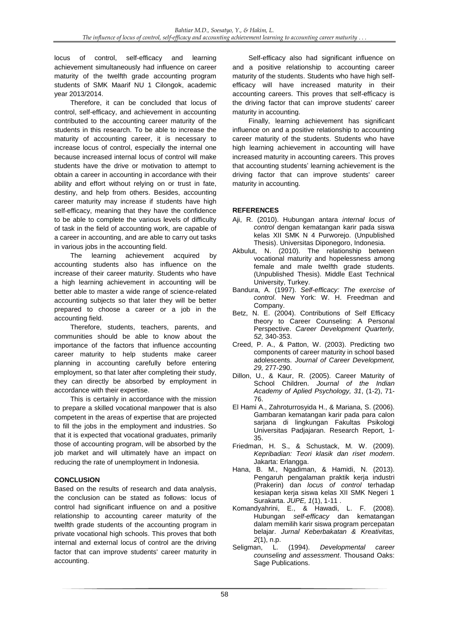locus of control, self-efficacy and learning achievement simultaneously had influence on career maturity of the twelfth grade accounting program students of SMK Maarif NU 1 Cilongok, academic year 2013/2014.

Therefore, it can be concluded that locus of control, self-efficacy, and achievement in accounting contributed to the accounting career maturity of the students in this research. To be able to increase the maturity of accounting career, it is necessary to increase locus of control, especially the internal one because increased internal locus of control will make students have the drive or motivation to attempt to obtain a career in accounting in accordance with their ability and effort without relying on or trust in fate, destiny, and help from others. Besides, accounting career maturity may increase if students have high self-efficacy, meaning that they have the confidence to be able to complete the various levels of difficulty of task in the field of accounting work, are capable of a career in accounting, and are able to carry out tasks in various jobs in the accounting field.

The learning achievement acquired by accounting students also has influence on the increase of their career maturity. Students who have a high learning achievement in accounting will be better able to master a wide range of science-related accounting subjects so that later they will be better prepared to choose a career or a job in the accounting field.

Therefore, students, teachers, parents, and communities should be able to know about the importance of the factors that influence accounting career maturity to help students make career planning in accounting carefully before entering employment, so that later after completing their study, they can directly be absorbed by employment in accordance with their expertise.

This is certainly in accordance with the mission to prepare a skilled vocational manpower that is also competent in the areas of expertise that are projected to fill the jobs in the employment and industries. So that it is expected that vocational graduates, primarily those of accounting program, will be absorbed by the job market and will ultimately have an impact on reducing the rate of unemployment in Indonesia.

## **CONCLUSION**

Based on the results of research and data analysis, the conclusion can be stated as follows: locus of control had significant influence on and a positive relationship to accounting career maturity of the twelfth grade students of the accounting program in private vocational high schools. This proves that both internal and external locus of control are the driving factor that can improve students' career maturity in accounting.

Self-efficacy also had significant influence on and a positive relationship to accounting career maturity of the students. Students who have high selfefficacy will have increased maturity in their accounting careers. This proves that self-efficacy is the driving factor that can improve students' career maturity in accounting.

Finally, learning achievement has significant influence on and a positive relationship to accounting career maturity of the students. Students who have high learning achievement in accounting will have increased maturity in accounting careers. This proves that accounting students' learning achievement is the driving factor that can improve students' career maturity in accounting.

# **REFERENCES**

- Aji, R. (2010). Hubungan antara *internal locus of control* dengan kematangan karir pada siswa kelas XII SMK N 4 Purworejo. (Unpublished Thesis). Universitas Diponegoro, Indonesia.
- Akbulut, N. (2010). The relationship between vocational maturity and hopelessness among female and male twelfth grade students. (Unpublished Thesis). Middle East Technical University, Turkey.
- Bandura, A. (1997). *Self-efficacy: The exercise of control*. New York: W. H. Freedman and Company.
- Betz, N. E. (2004). Contributions of Self Efficacy theory to Career Counseling: A Personal Perspective. *Career Development Quarterly, 52,* 340-353.
- Creed, P. A., & Patton, W. (2003). Predicting two components of career maturity in school based adolescents. *Journal of Career Development, 29,* 277-290.
- Dillon, U., & Kaur, R. (2005). Career Maturity of School Children. *Journal of the Indian Academy of Aplied Psychology, 31*, (1-2), 71- 76.
- El Hami A., Zahroturrosyida H., & Mariana, S. (2006). Gambaran kematangan karir pada para calon sarjana di lingkungan Fakultas Psikologi Universitas Padjajaran. Research Report, 1- 35.
- Friedman, H. S., & Schustack, M. W. (2009). *Kepribadian: Teori klasik dan riset modern*. Jakarta: Erlangga.
- Hana, B. M., Ngadiman, & Hamidi, N. (2013). Pengaruh pengalaman praktik kerja industri (Prakerin) dan *locus of control* terhadap kesiapan kerja siswa kelas XII SMK Negeri 1 Surakarta. *JUPE, 1*(1), 1-11 .
- Komandyahrini, E., & Hawadi, L. F. (2008). Hubungan *self-efficacy* dan kematangan dalam memilih karir siswa program percepatan belajar. *Jurnal Keberbakatan & Kreativitas, 2*(1), n.p.
- Seligman, L. (1994). *Developmental career counseling and assessment*. Thousand Oaks: Sage Publications.